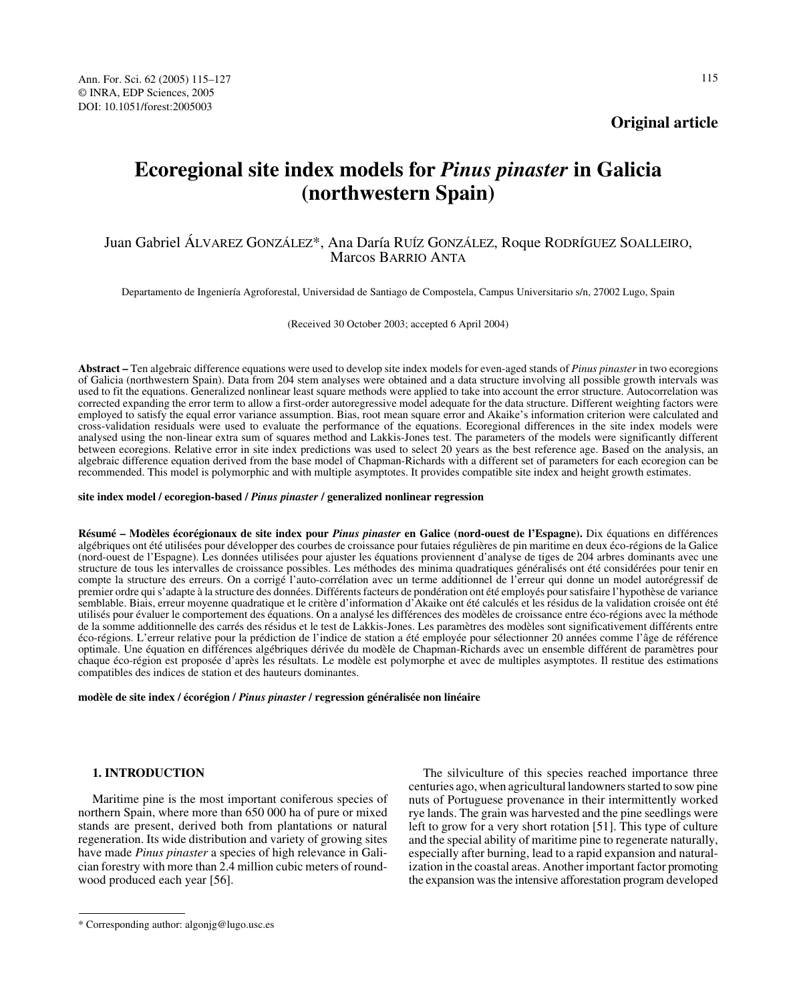Ann. For. Sci. 62 (2005) 115–127 115 © INRA, EDP Sciences, 2005 DOI: 10.1051/forest:2005003

**Original article**

# **Ecoregional site index models for** *Pinus pinaster* **in Galicia (northwestern Spain)**

## Juan Gabriel ÁLVAREZ GONZÁLEZ\*, Ana Daría RUÍZ GONZÁLEZ, Roque RODRÍGUEZ SOALLEIRO, Marcos BARRIO ANTA

Departamento de Ingeniería Agroforestal, Universidad de Santiago de Compostela, Campus Universitario s/n, 27002 Lugo, Spain

(Received 30 October 2003; accepted 6 April 2004)

**Abstract –** Ten algebraic difference equations were used to develop site index models for even-aged stands of *Pinus pinaster* in two ecoregions of Galicia (northwestern Spain). Data from 204 stem analyses were obtained and a data structure involving all possible growth intervals was used to fit the equations. Generalized nonlinear least square methods were applied to take into account the error structure. Autocorrelation was corrected expanding the error term to allow a first-order autoregressive model adequate for the data structure. Different weighting factors were employed to satisfy the equal error variance assumption. Bias, root mean square error and Akaike's information criterion were calculated and cross-validation residuals were used to evaluate the performance of the equations. Ecoregional differences in the site index models were analysed using the non-linear extra sum of squares method and Lakkis-Jones test. The parameters of the models were significantly different between ecoregions. Relative error in site index predictions was used to select 20 years as the best reference age. Based on the analysis, an algebraic difference equation derived from the base model of Chapman-Richards with a different set of parameters for each ecoregion can be recommended. This model is polymorphic and with multiple asymptotes. It provides compatible site index and height growth estimates.

**site index model / ecoregion-based /** *Pinus pinaster* **/ generalized nonlinear regression**

**Résumé – Modèles écorégionaux de site index pour** *Pinus pinaster* **en Galice (nord-ouest de l'Espagne).** Dix équations en différences algébriques ont été utilisées pour développer des courbes de croissance pour futaies régulières de pin maritime en deux éco-régions de la Galice (nord-ouest de l'Espagne). Les données utilisées pour ajuster les équations proviennent d'analyse de tiges de 204 arbres dominants avec une structure de tous les intervalles de croissance possibles. Les méthodes des minima quadratiques généralisés ont été considérées pour tenir en compte la structure des erreurs. On a corrigé l'auto-corrélation avec un terme additionnel de l'erreur qui donne un model autorégressif de premier ordre qui s'adapte à la structure des données. Différents facteurs de pondération ont été employés pour satisfaire l'hypothèse de variance semblable. Biais, erreur moyenne quadratique et le critère d'information d'Akaike ont été calculés et les résidus de la validation croisée ont été utilisés pour évaluer le comportement des équations. On a analysé les différences des modèles de croissance entre éco-régions avec la méthode de la somme additionnelle des carrés des résidus et le test de Lakkis-Jones. Les paramètres des modèles sont significativement différents entre éco-régions. L'erreur relative pour la prédiction de l'indice de station a été employée pour sélectionner 20 années comme l'âge de référence optimale. Une équation en différences algébriques dérivée du modèle de Chapman-Richards avec un ensemble différent de paramètres pour chaque éco-région est proposée d'après les résultats. Le modèle est polymorphe et avec de multiples asymptotes. Il restitue des estimations compatibles des indices de station et des hauteurs dominantes.

**modèle de site index / écorégion /** *Pinus pinaster* **/ regression généralisée non linéaire**

## **1. INTRODUCTION**

Maritime pine is the most important coniferous species of northern Spain, where more than 650 000 ha of pure or mixed stands are present, derived both from plantations or natural regeneration. Its wide distribution and variety of growing sites have made *Pinus pinaster* a species of high relevance in Galician forestry with more than 2.4 million cubic meters of roundwood produced each year [56].

The silviculture of this species reached importance three centuries ago, when agricultural landowners started to sow pine nuts of Portuguese provenance in their intermittently worked rye lands. The grain was harvested and the pine seedlings were left to grow for a very short rotation [51]. This type of culture and the special ability of maritime pine to regenerate naturally, especially after burning, lead to a rapid expansion and naturalization in the coastal areas. Another important factor promoting the expansion was the intensive afforestation program developed

<sup>\*</sup> Corresponding author: algonjg@lugo.usc.es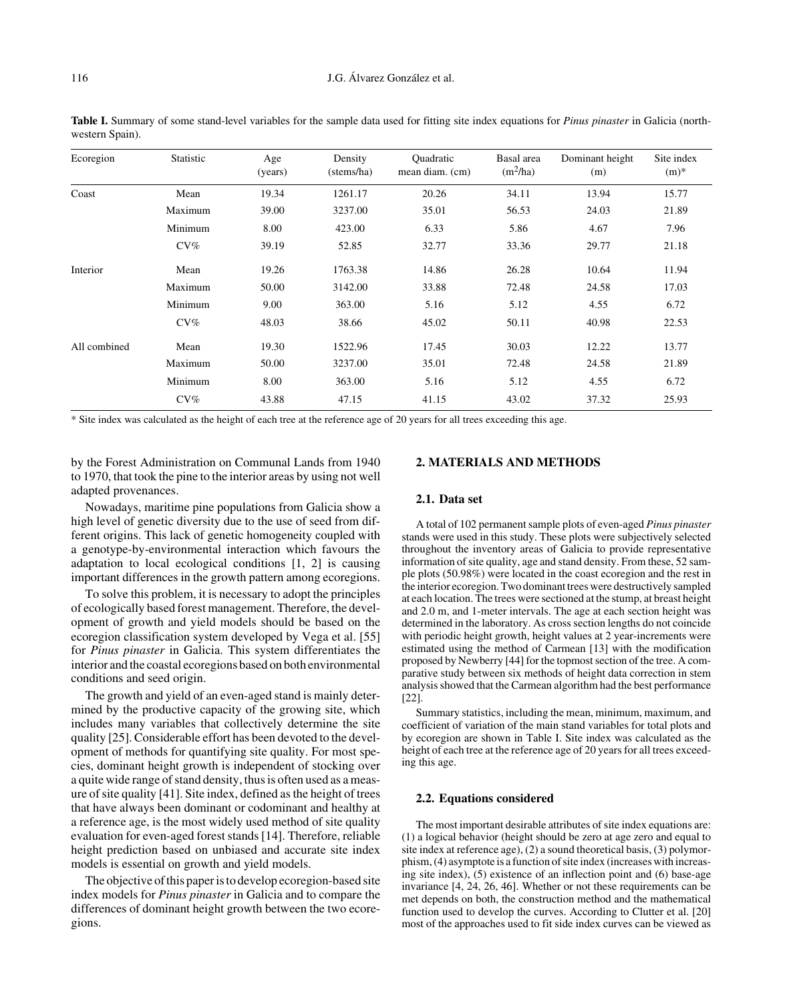| Ecoregion    | Statistic | Age<br>(years) | Density<br>(stems/ha) | <b>Quadratic</b><br>mean diam. (cm) | Basal area<br>$(m^2/ha)$ | Dominant height<br>(m) | Site index<br>$(m)$ * |
|--------------|-----------|----------------|-----------------------|-------------------------------------|--------------------------|------------------------|-----------------------|
| Coast        | Mean      | 19.34          | 1261.17               | 20.26                               | 34.11                    | 13.94                  | 15.77                 |
|              | Maximum   | 39.00          | 3237.00               | 35.01                               | 56.53                    | 24.03                  | 21.89                 |
|              | Minimum   | 8.00           | 423.00                | 6.33                                | 5.86                     | 4.67                   | 7.96                  |
|              | $CV\%$    | 39.19          | 52.85                 | 32.77                               | 33.36                    | 29.77                  | 21.18                 |
| Interior     | Mean      | 19.26          | 1763.38               | 14.86                               | 26.28                    | 10.64                  | 11.94                 |
|              | Maximum   | 50.00          | 3142.00               | 33.88                               | 72.48                    | 24.58                  | 17.03                 |
|              | Minimum   | 9.00           | 363.00                | 5.16                                | 5.12                     | 4.55                   | 6.72                  |
|              | $CV\%$    | 48.03          | 38.66                 | 45.02                               | 50.11                    | 40.98                  | 22.53                 |
| All combined | Mean      | 19.30          | 1522.96               | 17.45                               | 30.03                    | 12.22                  | 13.77                 |
|              | Maximum   | 50.00          | 3237.00               | 35.01                               | 72.48                    | 24.58                  | 21.89                 |
|              | Minimum   | 8.00           | 363.00                | 5.16                                | 5.12                     | 4.55                   | 6.72                  |
|              | $CV\%$    | 43.88          | 47.15                 | 41.15                               | 43.02                    | 37.32                  | 25.93                 |

**Table I.** Summary of some stand-level variables for the sample data used for fitting site index equations for *Pinus pinaster* in Galicia (northwestern Spain).

\* Site index was calculated as the height of each tree at the reference age of 20 years for all trees exceeding this age.

by the Forest Administration on Communal Lands from 1940 to 1970, that took the pine to the interior areas by using not well adapted provenances.

Nowadays, maritime pine populations from Galicia show a high level of genetic diversity due to the use of seed from different origins. This lack of genetic homogeneity coupled with a genotype-by-environmental interaction which favours the adaptation to local ecological conditions [1, 2] is causing important differences in the growth pattern among ecoregions.

To solve this problem, it is necessary to adopt the principles of ecologically based forest management. Therefore, the development of growth and yield models should be based on the ecoregion classification system developed by Vega et al. [55] for *Pinus pinaster* in Galicia. This system differentiates the interior and the coastal ecoregions based on both environmental conditions and seed origin.

The growth and yield of an even-aged stand is mainly determined by the productive capacity of the growing site, which includes many variables that collectively determine the site quality [25]. Considerable effort has been devoted to the development of methods for quantifying site quality. For most species, dominant height growth is independent of stocking over a quite wide range of stand density, thus is often used as a measure of site quality [41]. Site index, defined as the height of trees that have always been dominant or codominant and healthy at a reference age, is the most widely used method of site quality evaluation for even-aged forest stands [14]. Therefore, reliable height prediction based on unbiased and accurate site index models is essential on growth and yield models.

The objective of this paper is to develop ecoregion-based site index models for *Pinus pinaster* in Galicia and to compare the differences of dominant height growth between the two ecoregions.

## **2. MATERIALS AND METHODS**

#### **2.1. Data set**

A total of 102 permanent sample plots of even-aged *Pinus pinaster* stands were used in this study. These plots were subjectively selected throughout the inventory areas of Galicia to provide representative information of site quality, age and stand density. From these, 52 sample plots (50.98%) were located in the coast ecoregion and the rest in the interior ecoregion. Two dominant trees were destructively sampled at each location. The trees were sectioned at the stump, at breast height and 2.0 m, and 1-meter intervals. The age at each section height was determined in the laboratory. As cross section lengths do not coincide with periodic height growth, height values at 2 year-increments were estimated using the method of Carmean [13] with the modification proposed by Newberry [44] for the topmost section of the tree. A comparative study between six methods of height data correction in stem analysis showed that the Carmean algorithm had the best performance [22].

Summary statistics, including the mean, minimum, maximum, and coefficient of variation of the main stand variables for total plots and by ecoregion are shown in Table I. Site index was calculated as the height of each tree at the reference age of 20 years for all trees exceeding this age.

#### **2.2. Equations considered**

The most important desirable attributes of site index equations are: (1) a logical behavior (height should be zero at age zero and equal to site index at reference age), (2) a sound theoretical basis, (3) polymorphism, (4) asymptote is a function of site index (increases with increasing site index), (5) existence of an inflection point and (6) base-age invariance [4, 24, 26, 46]. Whether or not these requirements can be met depends on both, the construction method and the mathematical function used to develop the curves. According to Clutter et al. [20] most of the approaches used to fit side index curves can be viewed as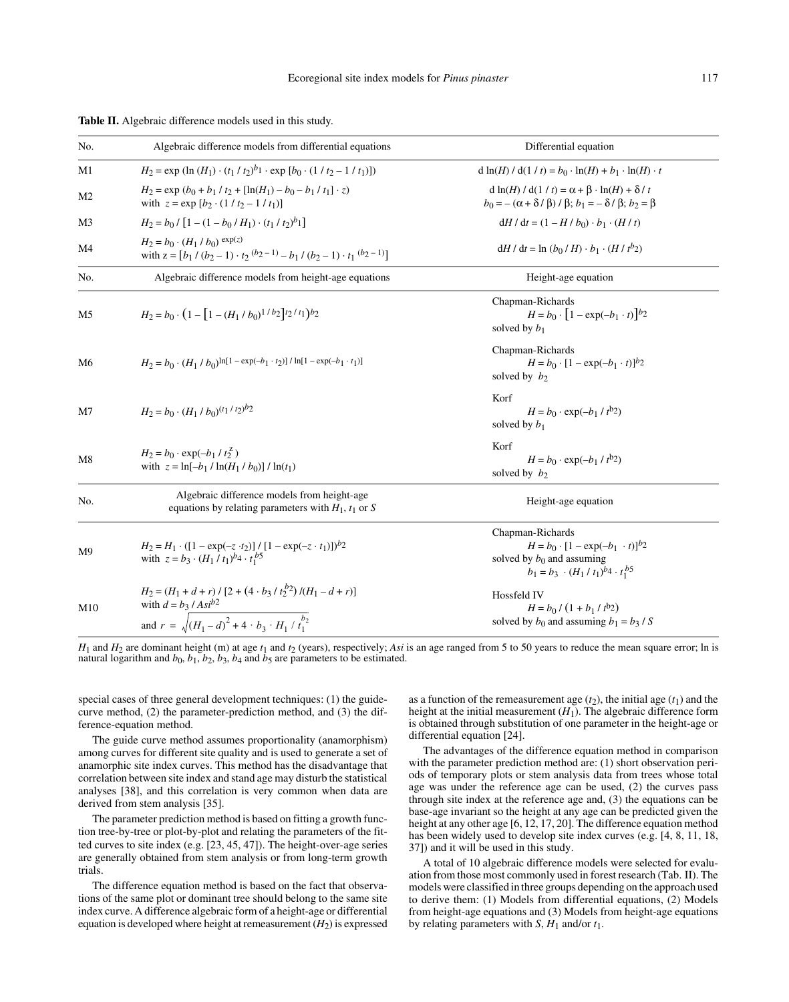| No.            | Algebraic difference models from differential equations                                                                                                                  | Differential equation                                                                                                                                     |
|----------------|--------------------------------------------------------------------------------------------------------------------------------------------------------------------------|-----------------------------------------------------------------------------------------------------------------------------------------------------------|
| M1             | $H_2 = \exp(\ln(H_1) \cdot (t_1 / t_2)^{b_1} \cdot \exp[b_0 \cdot (1 / t_2 - 1 / t_1)])$                                                                                 | $d \ln(H) / d(1 / t) = b_0 \cdot \ln(H) + b_1 \cdot \ln(H) \cdot t$                                                                                       |
| M <sub>2</sub> | $H_2 = \exp(b_0 + b_1 / t_2 + [\ln(H_1) - b_0 - b_1 / t_1] \cdot z)$<br>with $z = \exp [b_2 \cdot (1 / t_2 - 1 / t_1)]$                                                  | $d \ln(H) / d(1 / t) = \alpha + \beta \cdot \ln(H) + \delta / t$<br>$b_0 = -(\alpha + \delta/\beta)/\beta$ ; $b_1 = -\delta/\beta$ ; $b_2 = \beta$        |
| M3             | $H_2 = b_0 / [1 - (1 - b_0 / H_1) \cdot (t_1 / t_2)^b]$                                                                                                                  | $dH/dt = (1 - H/b_0) \cdot b_1 \cdot (H/t)$                                                                                                               |
| M <sub>4</sub> | $H_2 = b_0 \cdot (H_1 / b_0) \exp(z)$<br>with $z = [b_1 / (b_2 - 1) \cdot t_2 (b_2 - 1) - b_1 / (b_2 - 1) \cdot t_1 (b_2 - 1)]$                                          | $dH / dt = \ln (b_0 / H) \cdot b_1 \cdot (H / t^{b_2})$                                                                                                   |
| No.            | Algebraic difference models from height-age equations                                                                                                                    | Height-age equation                                                                                                                                       |
| M <sub>5</sub> | $H_2 = b_0 \cdot (1 - [1 - (H_1 / b_0)^{1/b_2}]^{t_2/t_1})^{b_2}$                                                                                                        | Chapman-Richards<br>$H = b_0 \cdot [1 - \exp(-b_1 \cdot t)]^{b_2}$<br>solved by $b_1$                                                                     |
| M6             | $H_2 = b_0 \cdot (H_1 / b_0)^{\ln[1 - \exp(-b_1 \cdot t_2)] / \ln[1 - \exp(-b_1 \cdot t_1)]}$                                                                            | Chapman-Richards<br>$H = b_0 \cdot [1 - \exp(-b_1 \cdot t)]^{b_2}$<br>solved by $b_2$                                                                     |
| M7             | $H_2 = b_0 \cdot (H_1 / b_0)^{(t_1 / t_2)^{b_2}}$                                                                                                                        | Korf<br>$H = b_0 \cdot \exp(-b_1 / t^{b_2})$<br>solved by $b_1$                                                                                           |
| M8             | $H_2 = b_0 \cdot \exp(-b_1 / t_2^{\mathbb{Z}})$<br>with $z = \ln[-b_1 / \ln(H_1 / b_0)] / \ln(t_1)$                                                                      | Korf<br>$H = b_0 \cdot \exp(-b_1 / t^{b_2})$<br>solved by $b_2$                                                                                           |
| No.            | Algebraic difference models from height-age<br>equations by relating parameters with $H_1$ , $t_1$ or S                                                                  | Height-age equation                                                                                                                                       |
| M9             | $H_2 = H_1 \cdot ( [1 - \exp(-z \cdot t_2)] / [1 - \exp(-z \cdot t_1)])^{b_2}$<br>with $z = b_3 \cdot (H_1 / t_1)^{b_4} \cdot t_1^{b_5}$                                 | Chapman-Richards<br>$H = b_0 \cdot [1 - \exp(-b_1 \cdot t)]^{b_2}$<br>solved by $b_0$ and assuming<br>$b_1 = b_3 \cdot (H_1 / t_1)^{b_4} \cdot t_1^{b_5}$ |
| M10            | $H_2 = (H_1 + d + r) / [2 + (4 \cdot b_3 / t_2^{b_2}) / (H_1 - d + r)]$<br>with $d = b_3 / Asi^{b2}$<br>and $r = \sqrt{(H_1 - d)^2 + 4 \cdot b_3 \cdot H_1 / t_1^{b_2}}$ | Hossfeld IV<br>$H = b_0 / (1 + b_1 / t^{b_2})$<br>solved by $b_0$ and assuming $b_1 = b_3 / S$                                                            |

|  |  |  |  |  | Table II. Algebraic difference models used in this study. |  |  |  |  |  |
|--|--|--|--|--|-----------------------------------------------------------|--|--|--|--|--|
|--|--|--|--|--|-----------------------------------------------------------|--|--|--|--|--|

 $H_1$  and  $H_2$  are dominant height (m) at age  $t_1$  and  $t_2$  (years), respectively; *Asi* is an age ranged from 5 to 50 years to reduce the mean square error; ln is natural logarithm and  $b_0$ ,  $b_1$ ,  $b_2$ ,  $b_3$ ,  $b_4$  and  $b_5$  are parameters to be estimated.

special cases of three general development techniques: (1) the guidecurve method, (2) the parameter-prediction method, and (3) the difference-equation method.

The guide curve method assumes proportionality (anamorphism) among curves for different site quality and is used to generate a set of anamorphic site index curves. This method has the disadvantage that correlation between site index and stand age may disturb the statistical analyses [38], and this correlation is very common when data are derived from stem analysis [35].

The parameter prediction method is based on fitting a growth function tree-by-tree or plot-by-plot and relating the parameters of the fitted curves to site index (e.g. [23, 45, 47]). The height-over-age series are generally obtained from stem analysis or from long-term growth trials.

The difference equation method is based on the fact that observations of the same plot or dominant tree should belong to the same site index curve. A difference algebraic form of a height-age or differential equation is developed where height at remeasurement  $(H_2)$  is expressed as a function of the remeasurement age  $(t_2)$ , the initial age  $(t_1)$  and the height at the initial measurement  $(H_1)$ . The algebraic difference form is obtained through substitution of one parameter in the height-age or differential equation [24].

The advantages of the difference equation method in comparison with the parameter prediction method are: (1) short observation periods of temporary plots or stem analysis data from trees whose total age was under the reference age can be used, (2) the curves pass through site index at the reference age and, (3) the equations can be base-age invariant so the height at any age can be predicted given the height at any other age [6, 12, 17, 20]. The difference equation method has been widely used to develop site index curves (e.g. [4, 8, 11, 18, 37]) and it will be used in this study.

A total of 10 algebraic difference models were selected for evaluation from those most commonly used in forest research (Tab. II). The models were classified in three groups depending on the approach used to derive them: (1) Models from differential equations, (2) Models from height-age equations and (3) Models from height-age equations by relating parameters with *S*,  $H_1$  and/or  $t_1$ .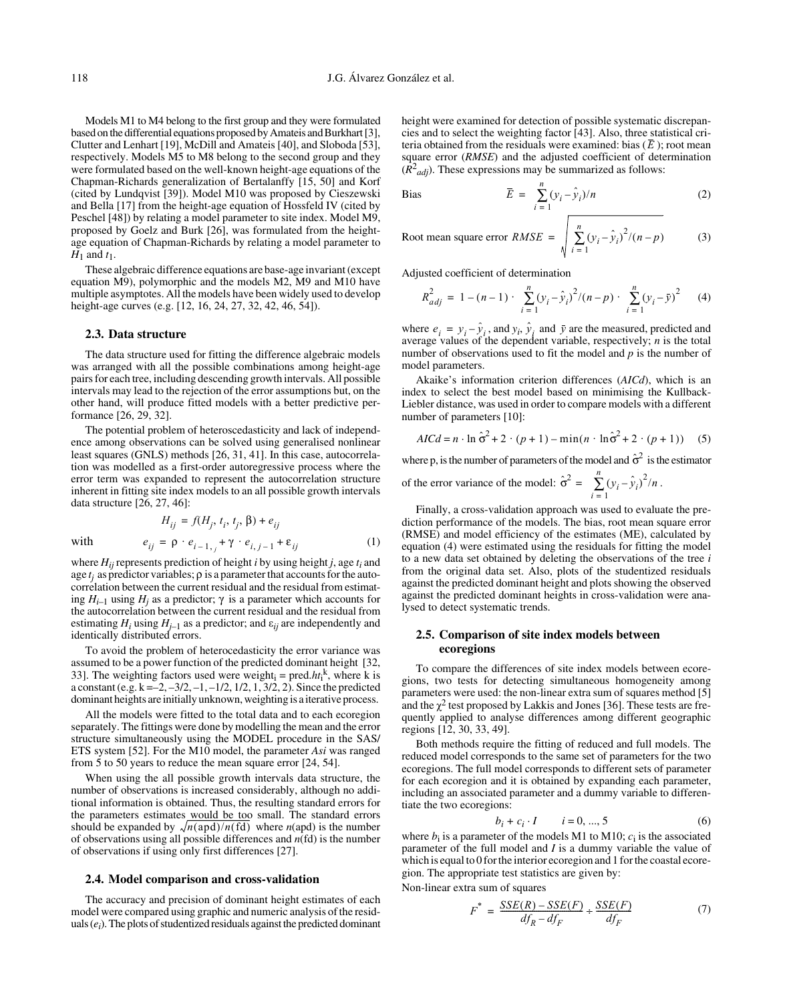Models M1 to M4 belong to the first group and they were formulated based on the differential equations proposed by Amateis and Burkhart [3], Clutter and Lenhart [19], McDill and Amateis [40], and Sloboda [53], respectively. Models M5 to M8 belong to the second group and they were formulated based on the well-known height-age equations of the Chapman-Richards generalization of Bertalanffy [15, 50] and Korf (cited by Lundqvist [39]). Model M10 was proposed by Cieszewski and Bella [17] from the height-age equation of Hossfeld IV (cited by Peschel [48]) by relating a model parameter to site index. Model M9, proposed by Goelz and Burk [26], was formulated from the heightage equation of Chapman-Richards by relating a model parameter to  $H_1$  and  $t_1$ .

These algebraic difference equations are base-age invariant (except equation M9), polymorphic and the models M2, M9 and M10 have multiple asymptotes. All the models have been widely used to develop height-age curves (e.g. [12, 16, 24, 27, 32, 42, 46, 54]).

#### **2.3. Data structure**

The data structure used for fitting the difference algebraic models was arranged with all the possible combinations among height-age pairs for each tree, including descending growth intervals. All possible intervals may lead to the rejection of the error assumptions but, on the other hand, will produce fitted models with a better predictive performance [26, 29, 32].

The potential problem of heteroscedasticity and lack of independence among observations can be solved using generalised nonlinear least squares (GNLS) methods [26, 31, 41]. In this case, autocorrelation was modelled as a first-order autoregressive process where the error term was expanded to represent the autocorrelation structure inherent in fitting site index models to an all possible growth intervals data structure [26, 27, 46]:

$$
H_{ij} = f(H_j, t_i, t_j, \beta) + e_{ij}
$$
  
with 
$$
e_{ij} = \rho \cdot e_{i-1,j} + \gamma \cdot e_{i,j-1} + \varepsilon_{ij}
$$
 (1)

where  $H_{ii}$  represents prediction of height *i* by using height *j*, age  $t_i$  and age  $t_i$  as predictor variables;  $\rho$  is a parameter that accounts for the autocorrelation between the current residual and the residual from estimating  $H_{i-1}$  using  $H_i$  as a predictor; γ is a parameter which accounts for the autocorrelation between the current residual and the residual from estimating  $H_i$  using  $H_{i-1}$  as a predictor; and  $\varepsilon_{ii}$  are independently and identically distributed errors.

To avoid the problem of heterocedasticity the error variance was assumed to be a power function of the predicted dominant height [32, 33]. The weighting factors used were weight<sub>i</sub> = pred. $ht_i^k$ , where k is a constant (e.g.  $k = -2, -3/2, -1, -1/2, 1/2, 1, 3/2, 2$ ). Since the predicted dominant heights are initially unknown, weighting is a iterative process.

All the models were fitted to the total data and to each ecoregion separately. The fittings were done by modelling the mean and the error structure simultaneously using the MODEL procedure in the SAS/ ETS system [52]. For the M10 model, the parameter *Asi* was ranged from 5 to 50 years to reduce the mean square error [24, 54].

When using the all possible growth intervals data structure, the number of observations is increased considerably, although no additional information is obtained. Thus, the resulting standard errors for the parameters estimates would be too small. The standard errors should be expanded by  $\sqrt{n}$ (apd)/n(fd) where n(apd) is the number of observations using all possible differences and *n*(fd) is the number of observations if using only first differences [27].

#### **2.4. Model comparison and cross-validation**

The accuracy and precision of dominant height estimates of each model were compared using graphic and numeric analysis of the residuals (*ei*). The plots of studentized residuals against the predicted dominant height were examined for detection of possible systematic discrepancies and to select the weighting factor [43]. Also, three statistical criteria obtained from the residuals were examined: bias  $(\overline{E})$ ; root mean square error (*RMSE*) and the adjusted coefficient of determination  $(R^2_{adj})$ . These expressions may be summarized as follows:

Bias 
$$
\overline{E} = \sum_{i=1}^{n} (y_i - \hat{y}_i)/n
$$
 (2)

Root mean square error 
$$
RMSE = \sqrt{\sum_{i=1}^{n} (y_i - \hat{y}_i)^2 / (n - p)}
$$
 (3)

Adjusted coefficient of determination

$$
R_{adj}^{2} = 1 - (n - 1) \cdot \sum_{i=1}^{n} (y_{i} - \hat{y}_{i})^{2} / (n - p) \cdot \sum_{i=1}^{n} (y_{i} - \bar{y})^{2}
$$
 (4)

where  $e_i = y_i - \hat{y}_i$ , and  $y_i$ ,  $\hat{y}_i$  and  $\hat{y}$  are the measured, predicted and average values of the dependent variable, respectively; *n* is the total number of observations used to fit the model and *p* is the number of model parameters.

Akaike's information criterion differences (*AICd*), which is an index to select the best model based on minimising the Kullback-Liebler distance, was used in order to compare models with a different number of parameters [10]:

$$
AICd = n \cdot \ln \hat{\sigma}^2 + 2 \cdot (p+1) - \min(n \cdot \ln \hat{\sigma}^2 + 2 \cdot (p+1))
$$
 (5)

where p, is the number of parameters of the model and  $\hat{\sigma}^2$  is the estimator

of the error variance of the model: 
$$
\hat{\sigma}^2 = \sum_{i=1}^n (y_i - \hat{y}_i)^2 / n.
$$

Finally, a cross-validation approach was used to evaluate the prediction performance of the models. The bias, root mean square error (RMSE) and model efficiency of the estimates (ME), calculated by equation (4) were estimated using the residuals for fitting the model to a new data set obtained by deleting the observations of the tree *i* from the original data set. Also, plots of the studentized residuals against the predicted dominant height and plots showing the observed against the predicted dominant heights in cross-validation were analysed to detect systematic trends.

## **2.5. Comparison of site index models between ecoregions**

To compare the differences of site index models between ecoregions, two tests for detecting simultaneous homogeneity among parameters were used: the non-linear extra sum of squares method [5] and the  $\gamma^2$  test proposed by Lakkis and Jones [36]. These tests are frequently applied to analyse differences among different geographic regions [12, 30, 33, 49].

Both methods require the fitting of reduced and full models. The reduced model corresponds to the same set of parameters for the two ecoregions. The full model corresponds to different sets of parameter for each ecoregion and it is obtained by expanding each parameter, including an associated parameter and a dummy variable to differentiate the two ecoregions:

$$
b_i + c_i \cdot I \qquad i = 0, ..., 5 \tag{6}
$$

where  $b_i$  is a parameter of the models M1 to M10;  $c_i$  is the associated parameter of the full model and *I* is a dummy variable the value of which is equal to 0 for the interior ecoregion and 1 for the coastal ecoregion. The appropriate test statistics are given by:

Non-linear extra sum of squares

$$
F^* = \frac{SSE(R) - SSE(F)}{df_R - df_F} + \frac{SSE(F)}{df_F} \tag{7}
$$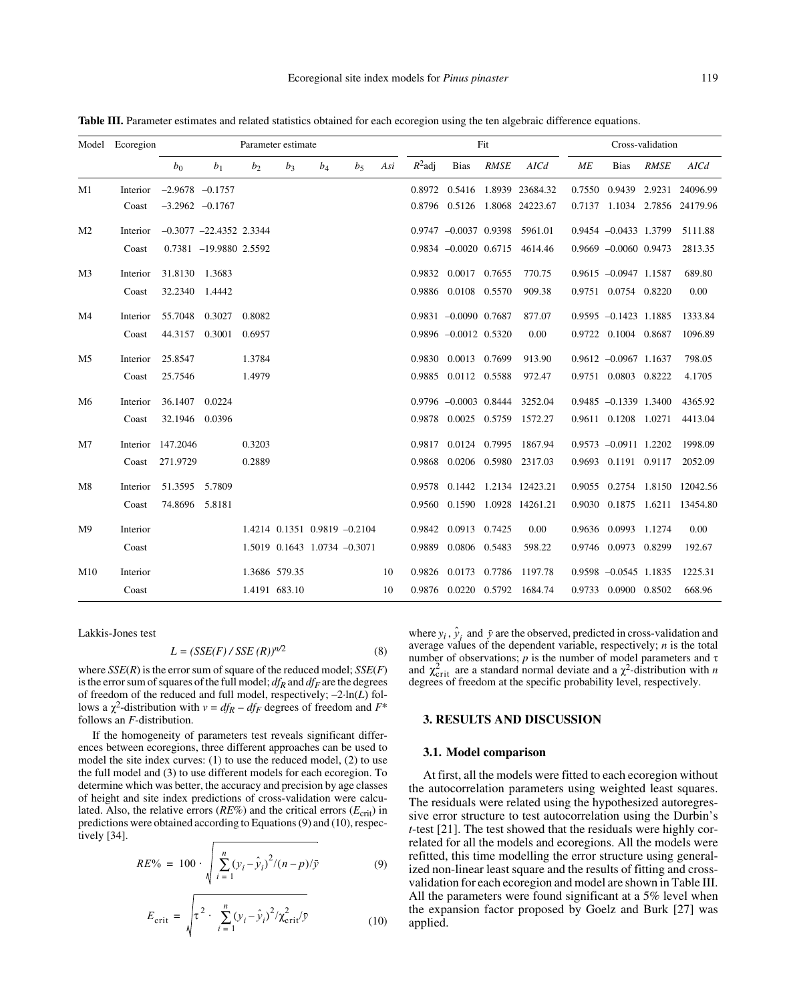|                | Model Ecoregion |                   | Parameter estimate          |                |                |                              |                |     |           | Fit                         |             |                                  |    | Cross-validation         |             |                                  |  |
|----------------|-----------------|-------------------|-----------------------------|----------------|----------------|------------------------------|----------------|-----|-----------|-----------------------------|-------------|----------------------------------|----|--------------------------|-------------|----------------------------------|--|
|                |                 | $b_0$             | b <sub>1</sub>              | b <sub>2</sub> | b <sub>3</sub> | $b_4$                        | b <sub>5</sub> | Asi | $R^2$ adj | <b>Bias</b>                 | <b>RMSE</b> | AICd                             | МE | <b>Bias</b>              | <b>RMSE</b> | AICd                             |  |
| M1             | Interior        |                   | $-2.9678$ $-0.1757$         |                |                |                              |                |     | 0.8972    |                             |             | 0.5416 1.8939 23684.32           |    |                          |             | 0.7550 0.9439 2.9231 24096.99    |  |
|                | Coast           |                   | $-3.2962$ $-0.1767$         |                |                |                              |                |     |           |                             |             | 0.8796 0.5126 1.8068 24223.67    |    |                          |             | 0.7137 1.1034 2.7856 24179.96    |  |
| M <sub>2</sub> | Interior        |                   | $-0.3077$ $-22.4352$ 2.3344 |                |                |                              |                |     |           |                             |             | $0.9747 - 0.0037$ 0.9398 5961.01 |    | $0.9454 - 0.0433$ 1.3799 |             | 5111.88                          |  |
|                | Coast           |                   | 0.7381 -19.9880 2.5592      |                |                |                              |                |     |           | $0.9834 - 0.0020 0.6715$    |             | 4614.46                          |    | $0.9669 - 0.0060 0.9473$ |             | 2813.35                          |  |
| M <sub>3</sub> | Interior        | 31.8130 1.3683    |                             |                |                |                              |                |     |           | 0.9832 0.0017 0.7655        |             | 770.75                           |    | $0.9615 - 0.0947$ 1.1587 |             | 689.80                           |  |
|                | Coast           |                   | 32.2340 1.4442              |                |                |                              |                |     |           | 0.9886 0.0108 0.5570        |             | 909.38                           |    | 0.9751 0.0754 0.8220     |             | 0.00                             |  |
| M <sub>4</sub> | Interior        | 55.7048           | 0.3027                      | 0.8082         |                |                              |                |     |           | 0.9831 -0.0090 0.7687       |             | 877.07                           |    | $0.9595 -0.1423$ 1.1885  |             | 1333.84                          |  |
|                | Coast           | 44.3157           | 0.3001                      | 0.6957         |                |                              |                |     |           | $0.9896$ $-0.0012$ $0.5320$ |             | 0.00                             |    | 0.9722 0.1004 0.8687     |             | 1096.89                          |  |
| M5             | Interior        | 25.8547           |                             | 1.3784         |                |                              |                |     |           | 0.9830 0.0013 0.7699        |             | 913.90                           |    | $0.9612 - 0.0967$ 1.1637 |             | 798.05                           |  |
|                | Coast           | 25.7546           |                             | 1.4979         |                |                              |                |     |           | 0.9885 0.0112 0.5588        |             | 972.47                           |    | 0.9751 0.0803 0.8222     |             | 4.1705                           |  |
| M6             | Interior        | 36.1407 0.0224    |                             |                |                |                              |                |     |           | $0.9796 - 0.0003$ 0.8444    |             | 3252.04                          |    | $0.9485 - 0.1339$ 1.3400 |             | 4365.92                          |  |
|                | Coast           |                   | 32.1946 0.0396              |                |                |                              |                |     |           |                             |             | 0.9878 0.0025 0.5759 1572.27     |    | 0.9611 0.1208 1.0271     |             | 4413.04                          |  |
| M <sub>7</sub> |                 | Interior 147.2046 |                             | 0.3203         |                |                              |                |     | 0.9817    | 0.0124 0.7995               |             | 1867.94                          |    | 0.9573 -0.0911 1.2202    |             | 1998.09                          |  |
|                | Coast           | 271.9729          |                             | 0.2889         |                |                              |                |     |           |                             |             | 0.9868 0.0206 0.5980 2317.03     |    | 0.9693 0.1191 0.9117     |             | 2052.09                          |  |
| M8             | Interior        | 51.3595 5.7809    |                             |                |                |                              |                |     | 0.9578    |                             |             | 0.1442 1.2134 12423.21           |    |                          |             | 0.9055 0.2754 1.8150 12042.56    |  |
|                | Coast           | 74.8696 5.8181    |                             |                |                |                              |                |     |           |                             |             | 0.9560 0.1590 1.0928 14261.21    |    |                          |             | 0.9030  0.1875  1.6211  13454.80 |  |
| M <sup>9</sup> | Interior        |                   |                             |                |                | 1.4214 0.1351 0.9819 -0.2104 |                |     | 0.9842    | 0.0913 0.7425               |             | 0.00                             |    | 0.9636 0.0993 1.1274     |             | 0.00                             |  |
|                | Coast           |                   |                             |                |                | 1.5019 0.1643 1.0734 -0.3071 |                |     |           | 0.9889 0.0806 0.5483        |             | 598.22                           |    | 0.9746 0.0973 0.8299     |             | 192.67                           |  |
| M10            | Interior        |                   |                             |                | 1.3686 579.35  |                              |                | 10  |           |                             |             | 0.9826 0.0173 0.7786 1197.78     |    | $0.9598 - 0.0545$ 1.1835 |             | 1225.31                          |  |
|                | Coast           |                   |                             |                | 1.4191 683.10  |                              |                | 10  |           |                             |             | 0.9876 0.0220 0.5792 1684.74     |    | 0.9733 0.0900 0.8502     |             | 668.96                           |  |

**Table III.** Parameter estimates and related statistics obtained for each ecoregion using the ten algebraic difference equations.

Lakkis-Jones test

$$
L = (SSE(F) / SSE(R))^{n/2}
$$
 (8)

where *SSE*(*R*) is the error sum of square of the reduced model; *SSE*(*F*) is the error sum of squares of the full model;  $df_R$  and  $df_F$  are the degrees of freedom of the reduced and full model, respectively; –2·ln(*L*) follows a  $\chi^2$ -distribution with *v* = *df<sub>R</sub>* – *df<sub>F</sub>* degrees of freedom and *F*<sup>\*</sup> follows an *F*-distribution.

If the homogeneity of parameters test reveals significant differences between ecoregions, three different approaches can be used to model the site index curves: (1) to use the reduced model, (2) to use the full model and (3) to use different models for each ecoregion. To determine which was better, the accuracy and precision by age classes of height and site index predictions of cross-validation were calculated. Also, the relative errors ( $RE\%$ ) and the critical errors ( $E_{\text{crit}}$ ) in predictions were obtained according to Equations (9) and (10), respectively [34].

$$
RE\% = 100 \cdot \sqrt{\sum_{i=1}^{n} (y_i - \hat{y}_i)^2 / (n - p) / \bar{y}}
$$
(9)

$$
E_{\text{crit}} = \sqrt{\tau^2 + \sum_{i=1}^{n} (y_i - \hat{y}_i)^2 / \chi_{\text{crit}}^2 / \bar{y}}
$$
(10)

where  $y_i$ ,  $\hat{y}_i$  and  $\bar{y}$  are the observed, predicted in cross-validation and average values of the dependent variable, respectively; *n* is the total number of observations;  *is the number of model parameters and τ* and  $\chi^2_{\text{crit}}$  are a standard normal deviate and a  $\chi^2$ -distribution with *n* degrees of freedom at the specific probability level, respectively.

## **3. RESULTS AND DISCUSSION**

#### **3.1. Model comparison**

At first, all the models were fitted to each ecoregion without the autocorrelation parameters using weighted least squares. The residuals were related using the hypothesized autoregressive error structure to test autocorrelation using the Durbin's *t*-test [21]. The test showed that the residuals were highly correlated for all the models and ecoregions. All the models were refitted, this time modelling the error structure using generalized non-linear least square and the results of fitting and crossvalidation for each ecoregion and model are shown in Table III. All the parameters were found significant at a 5% level when the expansion factor proposed by Goelz and Burk [27] was applied.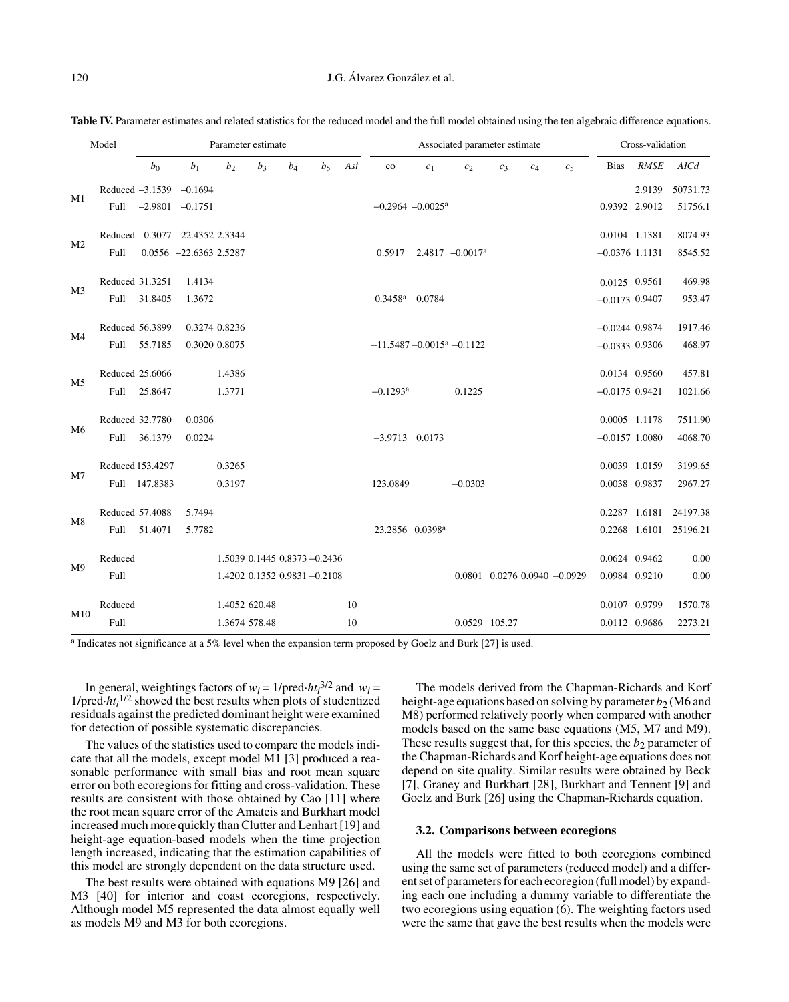|                | Model            | Parameter estimate |                                 |                              |       |       |       |     | Associated parameter estimate              |                 |                                      |       |       |                                      | Cross-validation |               |                        |
|----------------|------------------|--------------------|---------------------------------|------------------------------|-------|-------|-------|-----|--------------------------------------------|-----------------|--------------------------------------|-------|-------|--------------------------------------|------------------|---------------|------------------------|
|                |                  | $b_0$              | b <sub>1</sub>                  | b <sub>2</sub>               | $b_3$ | $b_4$ | $b_5$ | Asi | $_{\rm co}$                                | $c_1$           | $c_2$                                | $c_3$ | $c_4$ | $c_5$                                | <b>Bias</b>      | <b>RMSE</b>   | AICd                   |
|                |                  |                    | Reduced $-3.1539$ $-0.1694$     |                              |       |       |       |     |                                            |                 |                                      |       |       |                                      |                  | 2.9139        | 50731.73               |
| M1             | Full             |                    | $-2.9801$ $-0.1751$             |                              |       |       |       |     | $-0.2964 - 0.0025$ <sup>a</sup>            |                 |                                      |       |       |                                      | 0.9392 2.9012    |               | 51756.1                |
| M <sub>2</sub> |                  |                    | Reduced -0.3077 -22.4352 2.3344 |                              |       |       |       |     |                                            |                 |                                      |       |       |                                      | 0.0104 1.1381    |               | 8074.93                |
|                | Full             |                    | $0.0556$ -22.6363 2.5287        |                              |       |       |       |     |                                            |                 | $0.5917$ 2.4817 -0.0017 <sup>a</sup> |       |       |                                      | $-0.0376$ 1.1131 |               | 8545.52                |
| M <sub>3</sub> | Reduced 31.3251  |                    | 1.4134                          |                              |       |       |       |     |                                            |                 |                                      |       |       |                                      | 0.0125 0.9561    |               | 469.98                 |
|                | Full             | 31.8405            | 1.3672                          |                              |       |       |       |     | $0.3458a$ 0.0784                           |                 |                                      |       |       |                                      | $-0.0173$ 0.9407 |               | 953.47                 |
| M4             | Reduced 56.3899  |                    |                                 | 0.3274 0.8236                |       |       |       |     |                                            |                 |                                      |       |       |                                      | $-0.0244$ 0.9874 |               | 1917.46                |
|                | Full             | 55.7185            |                                 | 0.3020 0.8075                |       |       |       |     | $-11.5487 - 0.0015$ <sup>a</sup> $-0.1122$ |                 |                                      |       |       |                                      | $-0.0333$ 0.9306 |               | 468.97                 |
|                | Reduced 25.6066  |                    |                                 | 1.4386                       |       |       |       |     |                                            |                 |                                      |       |       |                                      | 0.0134 0.9560    |               | 457.81                 |
| M5             |                  | Full 25.8647       |                                 | 1.3771                       |       |       |       |     | $-0.1293$ <sup>a</sup>                     |                 | 0.1225                               |       |       |                                      | $-0.0175$ 0.9421 |               | 1021.66                |
|                | Reduced 32.7780  |                    | 0.0306                          |                              |       |       |       |     |                                            |                 |                                      |       |       |                                      | 0.0005 1.1178    |               | 7511.90                |
| M6             | Full             | 36.1379            | 0.0224                          |                              |       |       |       |     | $-3.9713$ 0.0173                           |                 |                                      |       |       |                                      | $-0.0157$ 1.0080 |               | 4068.70                |
| M7             | Reduced 153.4297 |                    |                                 | 0.3265                       |       |       |       |     |                                            |                 |                                      |       |       |                                      | 0.0039 1.0159    |               | 3199.65                |
|                |                  | Full 147.8383      |                                 | 0.3197                       |       |       |       |     | 123.0849                                   |                 | $-0.0303$                            |       |       |                                      | 0.0038 0.9837    |               | 2967.27                |
| M8             | Reduced 57.4088  |                    | 5.7494                          |                              |       |       |       |     |                                            |                 |                                      |       |       |                                      |                  | 0.2287 1.6181 | 24197.38               |
|                |                  | Full 51.4071       | 5.7782                          |                              |       |       |       |     |                                            | 23.2856 0.0398ª |                                      |       |       |                                      |                  |               | 0.2268 1.6101 25196.21 |
|                | Reduced          |                    |                                 | 1.5039 0.1445 0.8373 -0.2436 |       |       |       |     |                                            |                 |                                      |       |       |                                      | 0.0624 0.9462    |               | 0.00                   |
| M <sup>9</sup> | Full             |                    |                                 | 1.4202 0.1352 0.9831 -0.2108 |       |       |       |     |                                            |                 |                                      |       |       | $0.0801$ $0.0276$ $0.0940$ $-0.0929$ | 0.0984 0.9210    |               | 0.00                   |
|                | Reduced          |                    |                                 | 1.4052 620.48                |       |       |       | 10  |                                            |                 |                                      |       |       |                                      | 0.0107 0.9799    |               | 1570.78                |
| M10            | Full             |                    |                                 | 1.3674 578.48                |       |       |       | 10  |                                            |                 | 0.0529 105.27                        |       |       |                                      | 0.0112 0.9686    |               | 2273.21                |

Table IV. Parameter estimates and related statistics for the reduced model and the full model obtained using the ten algebraic difference equations.

a Indicates not significance at a 5% level when the expansion term proposed by Goelz and Burk [27] is used.

In general, weightings factors of  $w_i = 1/\text{pred} \cdot ht_i^{3/2}$  and  $w_i =$ 1/pred·*ht*<sub>i</sub><sup>1/2</sup> showed the best results when plots of studentized residuals against the predicted dominant height were examined for detection of possible systematic discrepancies.

The values of the statistics used to compare the models indicate that all the models, except model M1 [3] produced a reasonable performance with small bias and root mean square error on both ecoregions for fitting and cross-validation. These results are consistent with those obtained by Cao [11] where the root mean square error of the Amateis and Burkhart model increased much more quickly than Clutter and Lenhart [19] and height-age equation-based models when the time projection length increased, indicating that the estimation capabilities of this model are strongly dependent on the data structure used.

The best results were obtained with equations M9 [26] and M3 [40] for interior and coast ecoregions, respectively. Although model M5 represented the data almost equally well as models M9 and M3 for both ecoregions.

The models derived from the Chapman-Richards and Korf height-age equations based on solving by parameter  $b_2$  (M6 and M8) performed relatively poorly when compared with another models based on the same base equations (M5, M7 and M9). These results suggest that, for this species, the  $b_2$  parameter of the Chapman-Richards and Korf height-age equations does not depend on site quality. Similar results were obtained by Beck [7], Graney and Burkhart [28], Burkhart and Tennent [9] and Goelz and Burk [26] using the Chapman-Richards equation.

#### **3.2. Comparisons between ecoregions**

All the models were fitted to both ecoregions combined using the same set of parameters (reduced model) and a different set of parameters for each ecoregion (full model) by expanding each one including a dummy variable to differentiate the two ecoregions using equation (6). The weighting factors used were the same that gave the best results when the models were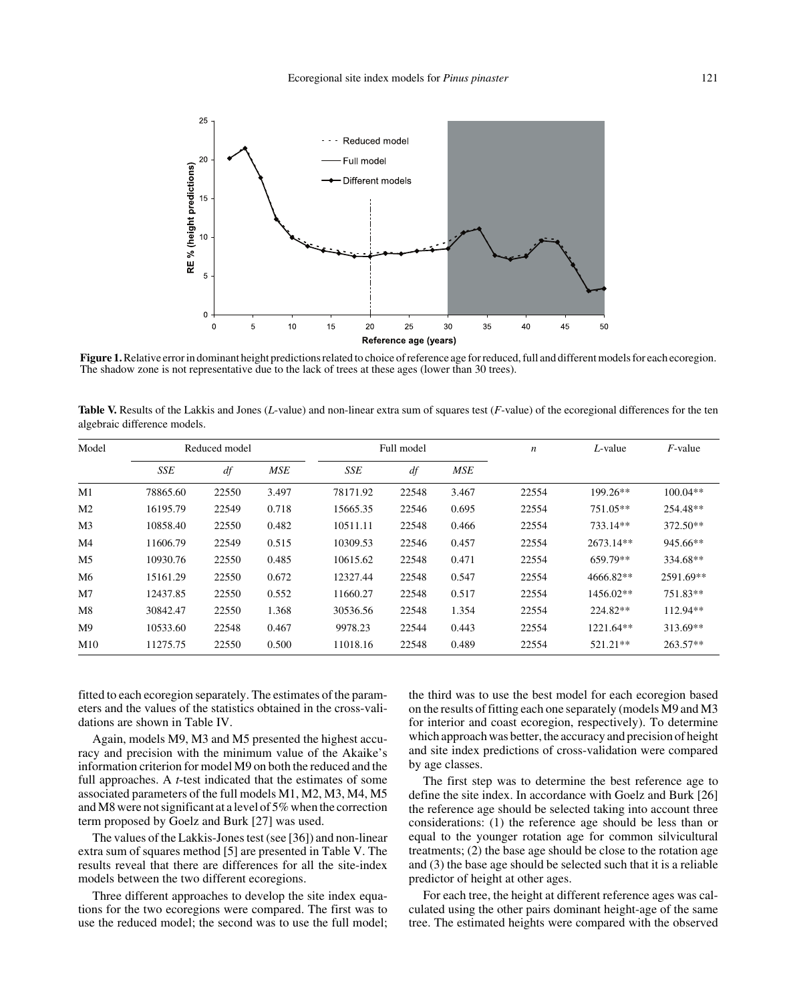

**Figure 1.** Relative error in dominant height predictions related to choice of reference age for reduced, full and different models for each ecoregion. The shadow zone is not representative due to the lack of trees at these ages (lower than 30 trees).

**Table V.** Results of the Lakkis and Jones (*L*-value) and non-linear extra sum of squares test (*F*-value) of the ecoregional differences for the ten algebraic difference models.

| Model          |          | Reduced model |            |          | Full model |            | $\boldsymbol{n}$ | $L$ -value | $F$ -value |
|----------------|----------|---------------|------------|----------|------------|------------|------------------|------------|------------|
|                | SSE      | df            | <b>MSE</b> | SSE      | df         | <b>MSE</b> |                  |            |            |
| M1             | 78865.60 | 22550         | 3.497      | 78171.92 | 22548      | 3.467      | 22554            | 199.26**   | $100.04**$ |
| M <sub>2</sub> | 16195.79 | 22549         | 0.718      | 15665.35 | 22546      | 0.695      | 22554            | $751.05**$ | 254.48**   |
| M <sub>3</sub> | 10858.40 | 22550         | 0.482      | 10511.11 | 22548      | 0.466      | 22554            | 733.14**   | $372.50**$ |
| M4             | 11606.79 | 22549         | 0.515      | 10309.53 | 22546      | 0.457      | 22554            | 2673.14**  | 945.66**   |
| M <sub>5</sub> | 10930.76 | 22550         | 0.485      | 10615.62 | 22548      | 0.471      | 22554            | 659.79**   | 334.68**   |
| M6             | 15161.29 | 22550         | 0.672      | 12327.44 | 22548      | 0.547      | 22554            | 4666.82**  | 2591.69**  |
| M <sub>7</sub> | 12437.85 | 22550         | 0.552      | 11660.27 | 22548      | 0.517      | 22554            | 1456.02**  | 751.83**   |
| M8             | 30842.47 | 22550         | 1.368      | 30536.56 | 22548      | 1.354      | 22554            | 224.82**   | 112.94**   |
| M9             | 10533.60 | 22548         | 0.467      | 9978.23  | 22544      | 0.443      | 22554            | 1221.64**  | 313.69**   |
| M10            | 11275.75 | 22550         | 0.500      | 11018.16 | 22548      | 0.489      | 22554            | $521.21**$ | $263.57**$ |

fitted to each ecoregion separately. The estimates of the parameters and the values of the statistics obtained in the cross-validations are shown in Table IV.

Again, models M9, M3 and M5 presented the highest accuracy and precision with the minimum value of the Akaike's information criterion for model M9 on both the reduced and the full approaches. A *t*-test indicated that the estimates of some associated parameters of the full models M1, M2, M3, M4, M5 and M8 were not significant at a level of 5% when the correction term proposed by Goelz and Burk [27] was used.

The values of the Lakkis-Jones test (see [36]) and non-linear extra sum of squares method [5] are presented in Table V. The results reveal that there are differences for all the site-index models between the two different ecoregions.

Three different approaches to develop the site index equations for the two ecoregions were compared. The first was to use the reduced model; the second was to use the full model; the third was to use the best model for each ecoregion based on the results of fitting each one separately (models M9 and M3 for interior and coast ecoregion, respectively). To determine which approach was better, the accuracy and precision of height and site index predictions of cross-validation were compared by age classes.

The first step was to determine the best reference age to define the site index. In accordance with Goelz and Burk [26] the reference age should be selected taking into account three considerations: (1) the reference age should be less than or equal to the younger rotation age for common silvicultural treatments; (2) the base age should be close to the rotation age and (3) the base age should be selected such that it is a reliable predictor of height at other ages.

For each tree, the height at different reference ages was calculated using the other pairs dominant height-age of the same tree. The estimated heights were compared with the observed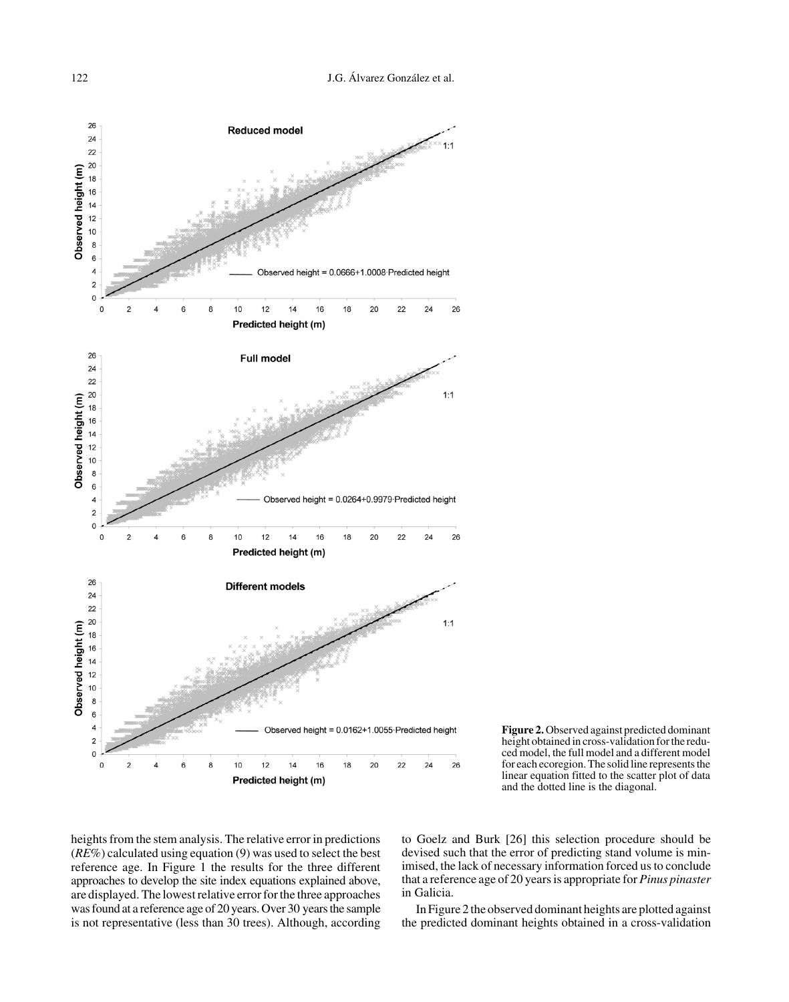

**Figure 2.** Observed against predicted dominant height obtained in cross-validation for the reduced model, the full model and a different model for each ecoregion. The solid line represents the linear equation fitted to the scatter plot of data and the dotted line is the diagonal.

heights from the stem analysis. The relative error in predictions (*RE*%) calculated using equation (9) was used to select the best reference age. In Figure 1 the results for the three different approaches to develop the site index equations explained above, are displayed. The lowest relative error for the three approaches was found at a reference age of 20 years. Over 30 years the sample is not representative (less than 30 trees). Although, according

to Goelz and Burk [26] this selection procedure should be devised such that the error of predicting stand volume is minimised, the lack of necessary information forced us to conclude that a reference age of 20 years is appropriate for *Pinus pinaster* in Galicia.

In Figure 2 the observed dominant heights are plotted against the predicted dominant heights obtained in a cross-validation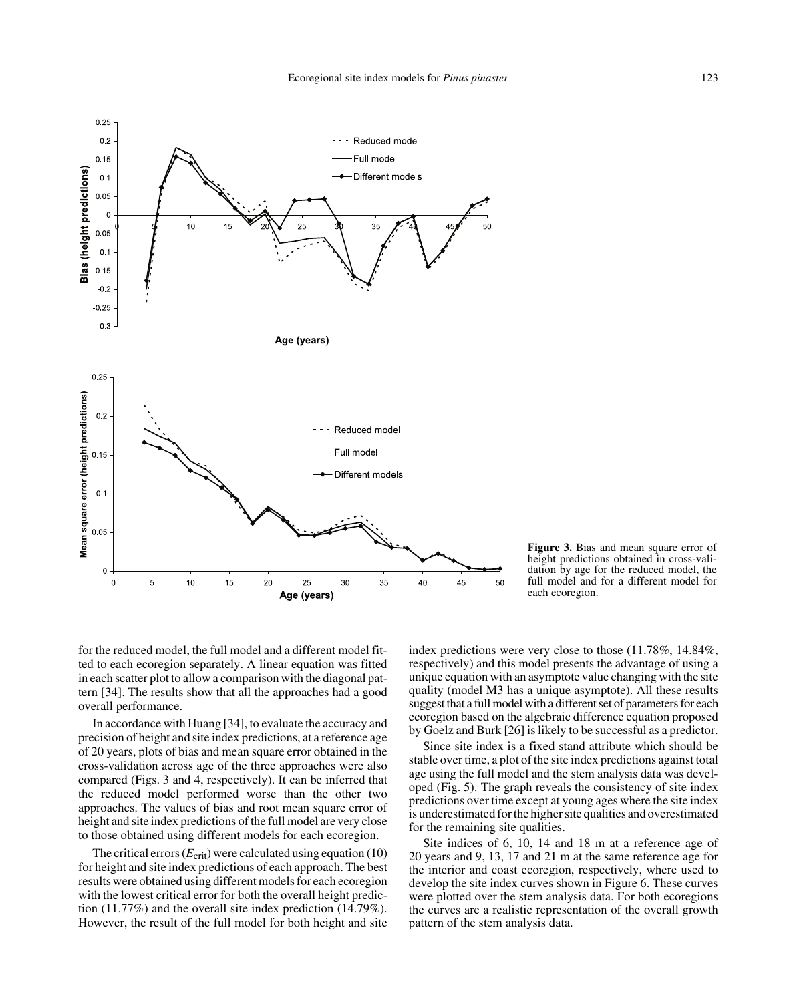

**Figure 3.** Bias and mean square error of height predictions obtained in cross-validation by age for the reduced model, the full model and for a different model for each ecoregion.

for the reduced model, the full model and a different model fitted to each ecoregion separately. A linear equation was fitted in each scatter plot to allow a comparison with the diagonal pattern [34]. The results show that all the approaches had a good overall performance.

In accordance with Huang [34], to evaluate the accuracy and precision of height and site index predictions, at a reference age of 20 years, plots of bias and mean square error obtained in the cross-validation across age of the three approaches were also compared (Figs. 3 and 4, respectively). It can be inferred that the reduced model performed worse than the other two approaches. The values of bias and root mean square error of height and site index predictions of the full model are very close to those obtained using different models for each ecoregion.

The critical errors  $(E_{\text{crit}})$  were calculated using equation (10) for height and site index predictions of each approach. The best results were obtained using different models for each ecoregion with the lowest critical error for both the overall height prediction (11.77%) and the overall site index prediction (14.79%). However, the result of the full model for both height and site

index predictions were very close to those (11.78%, 14.84%, respectively) and this model presents the advantage of using a unique equation with an asymptote value changing with the site quality (model M3 has a unique asymptote). All these results suggest that a full model with a different set of parameters for each ecoregion based on the algebraic difference equation proposed by Goelz and Burk [26] is likely to be successful as a predictor.

Since site index is a fixed stand attribute which should be stable over time, a plot of the site index predictions against total age using the full model and the stem analysis data was developed (Fig. 5). The graph reveals the consistency of site index predictions over time except at young ages where the site index is underestimated for the higher site qualities and overestimated for the remaining site qualities.

Site indices of 6, 10, 14 and 18 m at a reference age of 20 years and 9, 13, 17 and 21 m at the same reference age for the interior and coast ecoregion, respectively, where used to develop the site index curves shown in Figure 6. These curves were plotted over the stem analysis data. For both ecoregions the curves are a realistic representation of the overall growth pattern of the stem analysis data.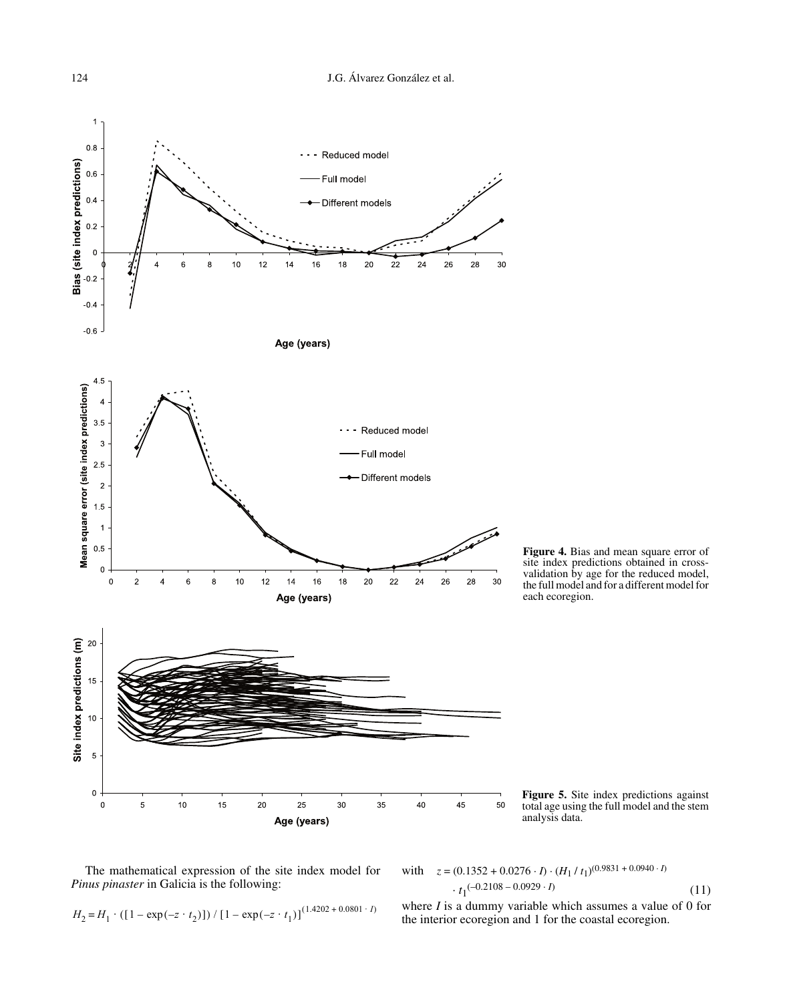

The mathematical expression of the site index model for *Pinus pinaster* in Galicia is the following:

with 
$$
z = (0.1352 + 0.0276 \cdot I) \cdot (H_1 / t_1)^{(0.9831 + 0.0940 \cdot I)}
$$
  
 $\cdot t_1^{(-0.2108 - 0.0929 \cdot I)}$  (11)

$$
H_2 = H_1 \cdot ([1 - \exp(-z \cdot t_2)]) / [1 - \exp(-z \cdot t_1)]^{(1.4202 + 0.0801 \cdot I)}
$$
 where *I* is a dummy variable which assumes a value of the interval.

where 
$$
I
$$
 is a dummy variable which assumes a value of 0 for the interior ecoregion and 1 for the coastal ecoregion.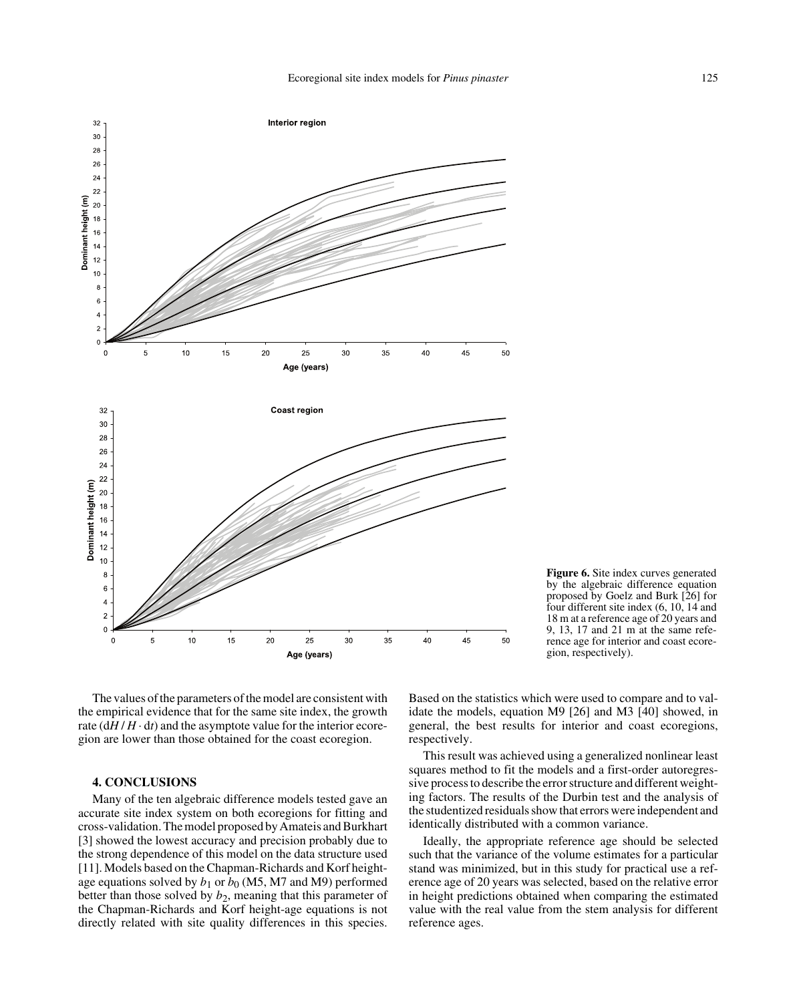

**Figure 6.** Site index curves generated by the algebraic difference equation proposed by Goelz and Burk [26] for four different site index (6, 10, 14 and 18 m at a reference age of 20 years and 9, 13, 17 and 21 m at the same reference age for interior and coast ecoregion, respectively).

The values of the parameters of the model are consistent with the empirical evidence that for the same site index, the growth rate  $\left(\frac{dH}{H} \cdot dt\right)$  and the asymptote value for the interior ecoregion are lower than those obtained for the coast ecoregion.

## **4. CONCLUSIONS**

Many of the ten algebraic difference models tested gave an accurate site index system on both ecoregions for fitting and cross-validation. The model proposed by Amateis and Burkhart [3] showed the lowest accuracy and precision probably due to the strong dependence of this model on the data structure used [11]. Models based on the Chapman-Richards and Korf heightage equations solved by  $b_1$  or  $b_0$  (M5, M7 and M9) performed better than those solved by  $b_2$ , meaning that this parameter of the Chapman-Richards and Korf height-age equations is not directly related with site quality differences in this species.

Based on the statistics which were used to compare and to validate the models, equation M9 [26] and M3 [40] showed, in general, the best results for interior and coast ecoregions, respectively.

This result was achieved using a generalized nonlinear least squares method to fit the models and a first-order autoregressive process to describe the error structure and different weighting factors. The results of the Durbin test and the analysis of the studentized residuals show that errors were independent and identically distributed with a common variance.

Ideally, the appropriate reference age should be selected such that the variance of the volume estimates for a particular stand was minimized, but in this study for practical use a reference age of 20 years was selected, based on the relative error in height predictions obtained when comparing the estimated value with the real value from the stem analysis for different reference ages.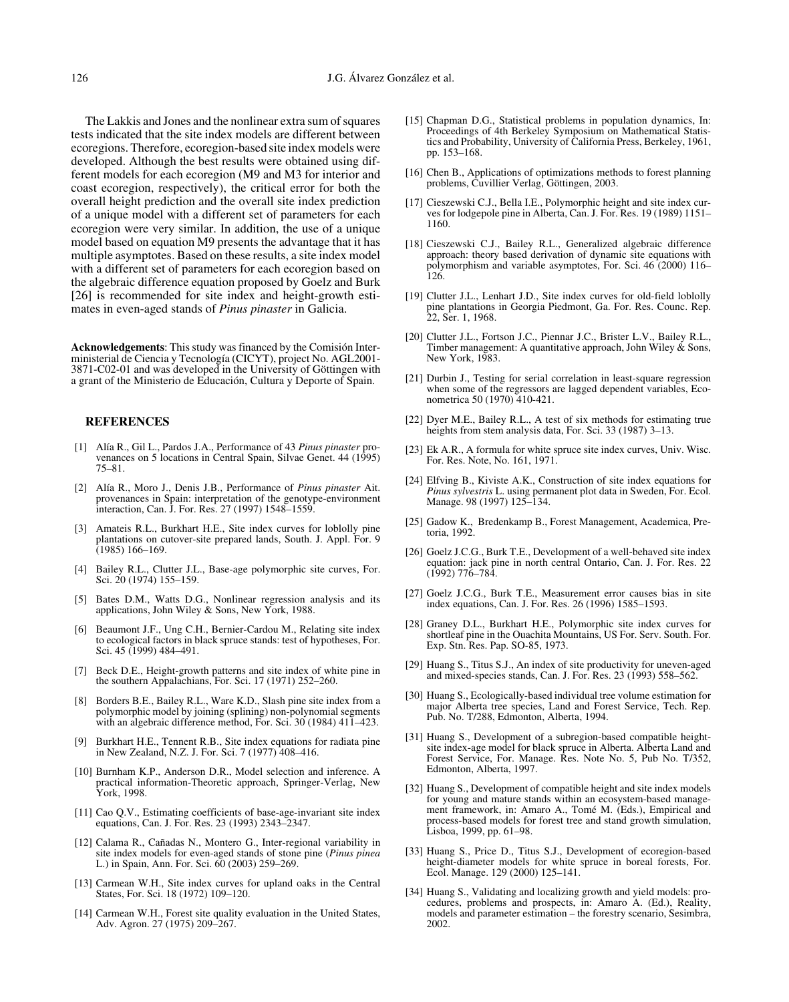The Lakkis and Jones and the nonlinear extra sum of squares tests indicated that the site index models are different between ecoregions. Therefore, ecoregion-based site index models were developed. Although the best results were obtained using different models for each ecoregion (M9 and M3 for interior and coast ecoregion, respectively), the critical error for both the overall height prediction and the overall site index prediction of a unique model with a different set of parameters for each ecoregion were very similar. In addition, the use of a unique model based on equation M9 presents the advantage that it has multiple asymptotes. Based on these results, a site index model with a different set of parameters for each ecoregion based on the algebraic difference equation proposed by Goelz and Burk [26] is recommended for site index and height-growth estimates in even-aged stands of *Pinus pinaster* in Galicia.

**Acknowledgements**: This study was financed by the Comisión Interministerial de Ciencia y Tecnología (CICYT), project No. AGL2001- 3871-C02-01 and was developed in the University of Göttingen with a grant of the Ministerio de Educación, Cultura y Deporte of Spain.

### **REFERENCES**

- [1] Alía R., Gil L., Pardos J.A., Performance of 43 *Pinus pinaster* provenances on 5 locations in Central Spain, Silvae Genet. 44 (1995) 75–81.
- [2] Alía R., Moro J., Denis J.B., Performance of *Pinus pinaster* Ait. provenances in Spain: interpretation of the genotype-environment interaction, Can. J. For. Res. 27 (1997) 1548–1559.
- [3] Amateis R.L., Burkhart H.E., Site index curves for loblolly pine plantations on cutover-site prepared lands, South. J. Appl. For. 9 (1985) 166–169.
- [4] Bailey R.L., Clutter J.L., Base-age polymorphic site curves, For. Sci. 20 (1974) 155–159.
- [5] Bates D.M., Watts D.G., Nonlinear regression analysis and its applications, John Wiley & Sons, New York, 1988.
- [6] Beaumont J.F., Ung C.H., Bernier-Cardou M., Relating site index to ecological factors in black spruce stands: test of hypotheses, For. Sci. 45 (1999) 484–491.
- [7] Beck D.E., Height-growth patterns and site index of white pine in the southern Appalachians, For. Sci. 17 (1971) 252–260.
- [8] Borders B.E., Bailey R.L., Ware K.D., Slash pine site index from a polymorphic model by joining (splining) non-polynomial segments with an algebraic difference method, For. Sci. 30 (1984) 411–423.
- [9] Burkhart H.E., Tennent R.B., Site index equations for radiata pine in New Zealand, N.Z. J. For. Sci. 7 (1977) 408–416.
- [10] Burnham K.P., Anderson D.R., Model selection and inference. A practical information-Theoretic approach, Springer-Verlag, New York, 1998.
- [11] Cao Q.V., Estimating coefficients of base-age-invariant site index equations, Can. J. For. Res. 23 (1993) 2343–2347.
- [12] Calama R., Cañadas N., Montero G., Inter-regional variability in site index models for even-aged stands of stone pine (*Pinus pinea* L.) in Spain, Ann. For. Sci. 60 (2003) 259–269.
- [13] Carmean W.H., Site index curves for upland oaks in the Central States, For. Sci. 18 (1972) 109–120.
- [14] Carmean W.H., Forest site quality evaluation in the United States, Adv. Agron. 27 (1975) 209–267.
- [15] Chapman D.G., Statistical problems in population dynamics, In: Proceedings of 4th Berkeley Symposium on Mathematical Statistics and Probability, University of California Press, Berkeley, 1961, pp. 153–168.
- [16] Chen B., Applications of optimizations methods to forest planning problems, Cuvillier Verlag, Göttingen, 2003.
- [17] Cieszewski C.J., Bella I.E., Polymorphic height and site index curves for lodgepole pine in Alberta, Can. J. For. Res. 19 (1989) 1151– 1160.
- [18] Cieszewski C.J., Bailey R.L., Generalized algebraic difference approach: theory based derivation of dynamic site equations with polymorphism and variable asymptotes, For. Sci. 46 (2000) 116–  $126.$
- [19] Clutter J.L., Lenhart J.D., Site index curves for old-field loblolly pine plantations in Georgia Piedmont, Ga. For. Res. Counc. Rep. 22, Ser. 1, 1968.
- [20] Clutter J.L., Fortson J.C., Piennar J.C., Brister L.V., Bailey R.L., Timber management: A quantitative approach, John Wiley  $\&$  Sons, New York, 1983.
- [21] Durbin J., Testing for serial correlation in least-square regression when some of the regressors are lagged dependent variables, Econometrica 50 (1970) 410-421.
- [22] Dyer M.E., Bailey R.L., A test of six methods for estimating true heights from stem analysis data, For. Sci. 33 (1987) 3-13.
- [23] Ek A.R., A formula for white spruce site index curves, Univ. Wisc. For. Res. Note, No. 161, 1971.
- [24] Elfving B., Kiviste A.K., Construction of site index equations for *Pinus sylvestris* L. using permanent plot data in Sweden, For. Ecol. Manage. 98 (1997) 125–134.
- [25] Gadow K., Bredenkamp B., Forest Management, Academica, Pretoria, 1992.
- [26] Goelz J.C.G., Burk T.E., Development of a well-behaved site index equation: jack pine in north central Ontario, Can. J. For. Res. 22  $(1992)$  776–784.
- [27] Goelz J.C.G., Burk T.E., Measurement error causes bias in site index equations, Can. J. For. Res. 26 (1996) 1585–1593.
- [28] Graney D.L., Burkhart H.E., Polymorphic site index curves for shortleaf pine in the Ouachita Mountains, US For. Serv. South. For. Exp. Stn. Res. Pap. SO-85, 1973.
- [29] Huang S., Titus S.J., An index of site productivity for uneven-aged and mixed-species stands, Can. J. For. Res. 23 (1993) 558–562.
- [30] Huang S., Ecologically-based individual tree volume estimation for major Alberta tree species, Land and Forest Service, Tech. Rep. Pub. No. T/288, Edmonton, Alberta, 1994.
- [31] Huang S., Development of a subregion-based compatible heightsite index-age model for black spruce in Alberta. Alberta Land and Forest Service, For. Manage. Res. Note No. 5, Pub No. T/352, Edmonton, Alberta, 1997.
- [32] Huang S., Development of compatible height and site index models for young and mature stands within an ecosystem-based management framework, in: Amaro A., Tomé M. (Eds.), Empirical and process-based models for forest tree and stand growth simulation, Lisboa, 1999, pp. 61–98.
- [33] Huang S., Price D., Titus S.J., Development of ecoregion-based height-diameter models for white spruce in boreal forests, For. Ecol. Manage. 129 (2000) 125–141.
- [34] Huang S., Validating and localizing growth and yield models: procedures, problems and prospects, in: Amaro A. (Ed.), Reality, models and parameter estimation – the forestry scenario, Sesimbra, 2002.